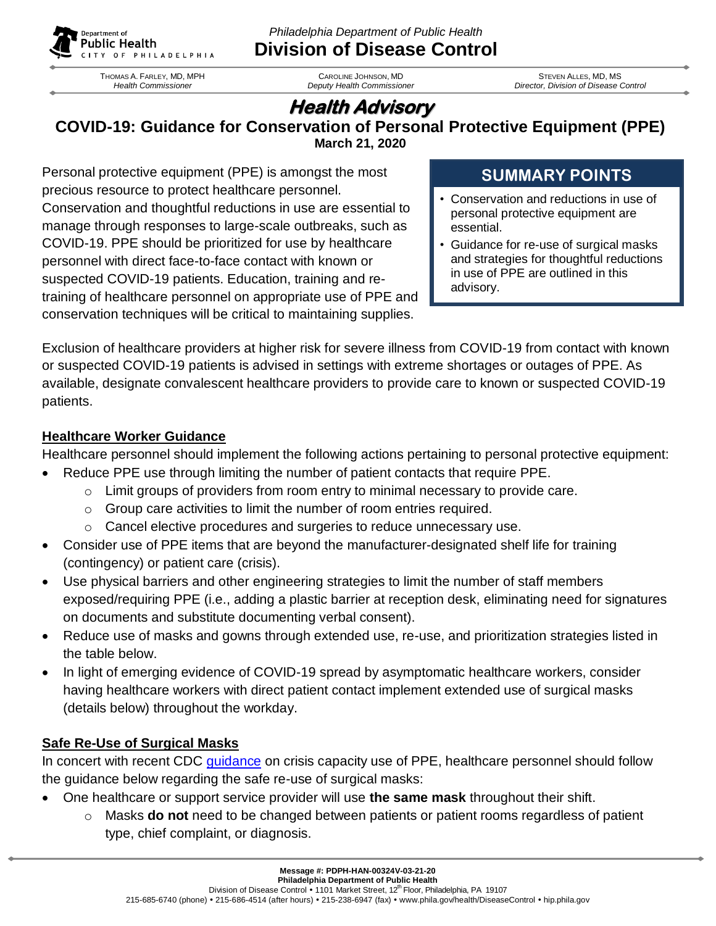

*Philadelphia Department of Public Health* **Division of Disease Control**

THOMAS A. FARLEY, MD, MPH *Health Commissioner*

CAROLINE JOHNSON, MD *Deputy Health Commissioner* 

STEVEN ALLES, MD, MS *Director, Division of Disease Control*

# **Health Advisory**

**COVID-19: Guidance for Conservation of Personal Protective Equipment (PPE) March 21, 2020**

Personal protective equipment (PPE) is amongst the most precious resource to protect healthcare personnel. Conservation and thoughtful reductions in use are essential to manage through responses to large-scale outbreaks, such as COVID-19. PPE should be prioritized for use by healthcare personnel with direct face-to-face contact with known or suspected COVID-19 patients. Education, training and retraining of healthcare personnel on appropriate use of PPE and conservation techniques will be critical to maintaining supplies.

## **SUMMARY POINTS**

- Conservation and reductions in use of personal protective equipment are essential.
- Guidance for re-use of surgical masks and strategies for thoughtful reductions in use of PPE are outlined in this advisory.

Exclusion of healthcare providers at higher risk for severe illness from COVID-19 from contact with known or suspected COVID-19 patients is advised in settings with extreme shortages or outages of PPE. As available, designate convalescent healthcare providers to provide care to known or suspected COVID-19 patients.

#### **Healthcare Worker Guidance**

Healthcare personnel should implement the following actions pertaining to personal protective equipment:

- Reduce PPE use through limiting the number of patient contacts that require PPE.
	- $\circ$  Limit groups of providers from room entry to minimal necessary to provide care.
	- $\circ$  Group care activities to limit the number of room entries required.
	- o Cancel elective procedures and surgeries to reduce unnecessary use.
- Consider use of PPE items that are beyond the manufacturer-designated shelf life for training (contingency) or patient care (crisis).
- Use physical barriers and other engineering strategies to limit the number of staff members exposed/requiring PPE (i.e., adding a plastic barrier at reception desk, eliminating need for signatures on documents and substitute documenting verbal consent).
- Reduce use of masks and gowns through extended use, re-use, and prioritization strategies listed in the table below.
- In light of emerging evidence of COVID-19 spread by asymptomatic healthcare workers, consider having healthcare workers with direct patient contact implement extended use of surgical masks (details below) throughout the workday.

### **Safe Re-Use of Surgical Masks**

In concert with recent CDC [guidance](https://www.cdc.gov/coronavirus/2019-ncov/hcp/ppe-strategy/face-masks.html) on crisis capacity use of PPE, healthcare personnel should follow the guidance below regarding the safe re-use of surgical masks:

- One healthcare or support service provider will use **the same mask** throughout their shift.
	- o Masks **do not** need to be changed between patients or patient rooms regardless of patient type, chief complaint, or diagnosis.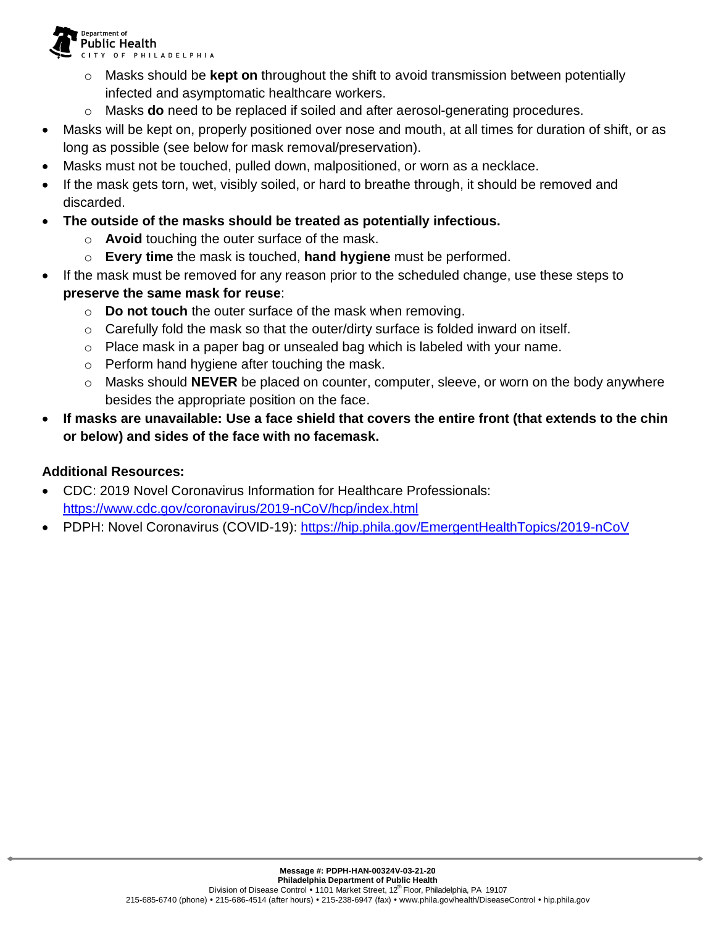**Public Health** CITY OF PHILADELPHIA

Department of

- o Masks should be **kept on** throughout the shift to avoid transmission between potentially infected and asymptomatic healthcare workers.
- o Masks **do** need to be replaced if soiled and after aerosol-generating procedures.
- Masks will be kept on, properly positioned over nose and mouth, at all times for duration of shift, or as long as possible (see below for mask removal/preservation).
- Masks must not be touched, pulled down, malpositioned, or worn as a necklace.
- If the mask gets torn, wet, visibly soiled, or hard to breathe through, it should be removed and discarded.
- **The outside of the masks should be treated as potentially infectious.**
	- o **Avoid** touching the outer surface of the mask.
	- o **Every time** the mask is touched, **hand hygiene** must be performed.
- If the mask must be removed for any reason prior to the scheduled change, use these steps to **preserve the same mask for reuse**:
	- o **Do not touch** the outer surface of the mask when removing.
	- $\circ$  Carefully fold the mask so that the outer/dirty surface is folded inward on itself.
	- o Place mask in a paper bag or unsealed bag which is labeled with your name.
	- o Perform hand hygiene after touching the mask.
	- o Masks should **NEVER** be placed on counter, computer, sleeve, or worn on the body anywhere besides the appropriate position on the face.
- **If masks are unavailable: Use a face shield that covers the entire front (that extends to the chin or below) and sides of the face with no facemask.**

#### **Additional Resources:**

- CDC: 2019 Novel Coronavirus Information for Healthcare Professionals: <https://www.cdc.gov/coronavirus/2019-nCoV/hcp/index.html>
- PDPH: Novel Coronavirus (COVID-19): <https://hip.phila.gov/EmergentHealthTopics/2019-nCoV>